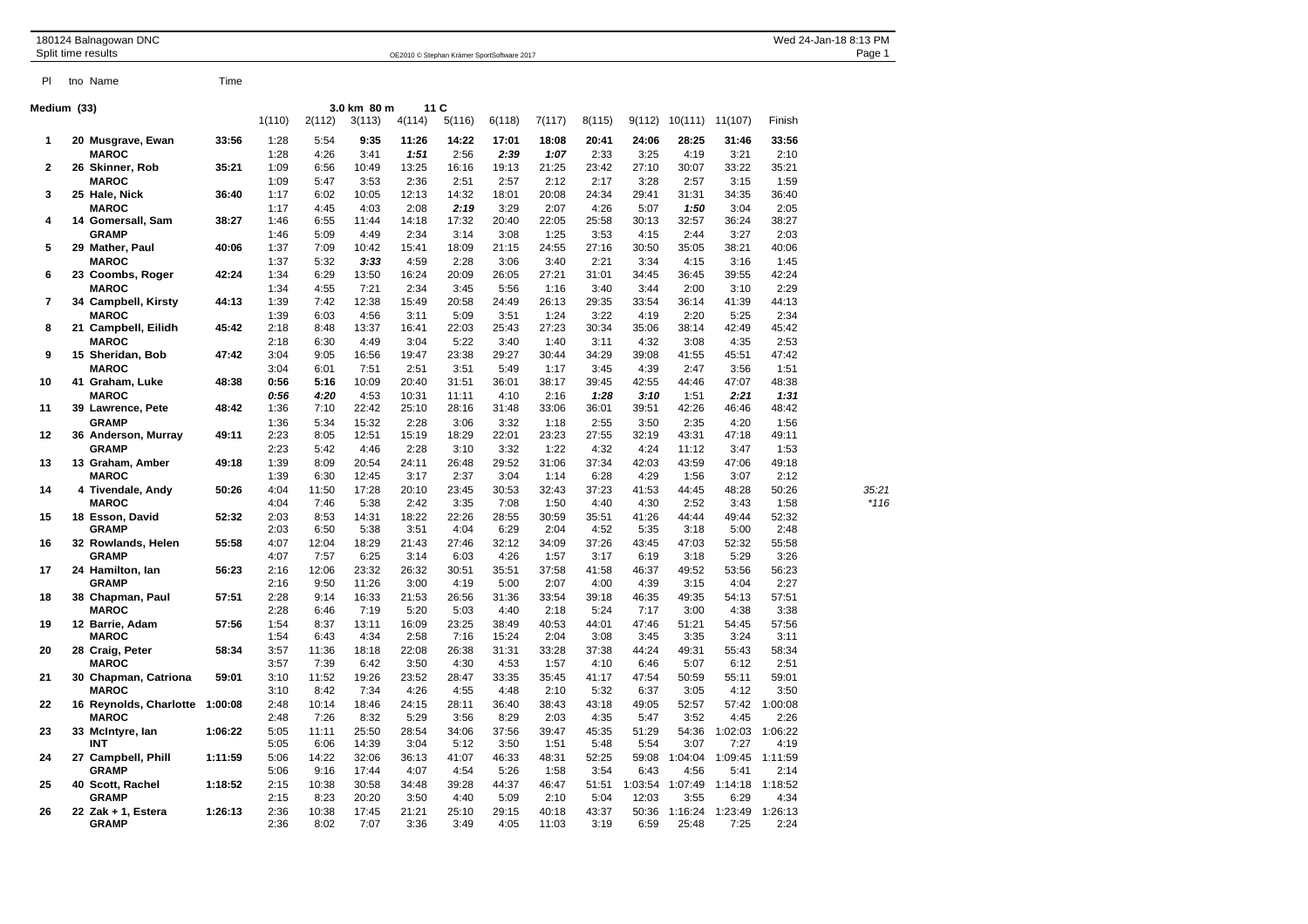| 180124 Balnagowan DNC<br>Split time results |             |                                    | Wed 24-Jan-18 8:13 PM<br>OE2010 © Stephan Krämer SportSoftware 2017 |              |                     |                |               |               |               |               |               |               | Page 1           |                 |                 |        |
|---------------------------------------------|-------------|------------------------------------|---------------------------------------------------------------------|--------------|---------------------|----------------|---------------|---------------|---------------|---------------|---------------|---------------|------------------|-----------------|-----------------|--------|
| PI                                          |             | tno Name                           | Time                                                                |              |                     |                |               |               |               |               |               |               |                  |                 |                 |        |
|                                             | Medium (33) |                                    |                                                                     |              | 3.0 km 80 m<br>11 C |                |               |               |               |               |               |               |                  |                 |                 |        |
|                                             |             |                                    |                                                                     | 1(110)       | 2(112)              | 3(113)         | 4(114)        | 5(116)        | 6(118)        | 7(117)        | 8(115)        | 9(112)        | 10(111)          | 11(107)         | Finish          |        |
| 1                                           |             | 20 Musgrave, Ewan                  | 33:56                                                               | 1:28         | 5:54                | 9:35           | 11:26         | 14:22         | 17:01         | 18:08         | 20:41         | 24:06         | 28:25            | 31:46           | 33:56           |        |
|                                             |             | <b>MAROC</b>                       |                                                                     | 1:28         | 4:26                | 3:41           | 1:51          | 2:56          | 2:39          | 1:07          | 2:33          | 3:25          | 4:19             | 3:21            | 2:10            |        |
| $\mathbf{2}$                                |             | 26 Skinner, Rob                    | 35:21                                                               | 1:09         | 6:56                | 10:49          | 13:25         | 16:16         | 19:13         | 21:25         | 23:42         | 27:10         | 30:07            | 33:22           | 35:21           |        |
|                                             |             | <b>MAROC</b>                       |                                                                     | 1:09         | 5:47                | 3:53           | 2:36          | 2:51          | 2:57          | 2:12          | 2:17          | 3:28          | 2:57             | 3:15            | 1:59            |        |
| 3                                           |             | 25 Hale, Nick                      | 36:40                                                               | 1:17         | 6:02                | 10:05          | 12:13         | 14:32         | 18:01         | 20:08         | 24:34         | 29:41         | 31:31            | 34:35           | 36:40           |        |
| 4                                           |             | <b>MAROC</b>                       | 38:27                                                               | 1:17<br>1:46 | 4:45<br>6:55        | 4:03<br>11:44  | 2:08<br>14:18 | 2:19<br>17:32 | 3:29<br>20:40 | 2:07<br>22:05 | 4:26<br>25:58 | 5:07<br>30:13 | 1:50<br>32:57    | 3:04<br>36:24   | 2:05<br>38:27   |        |
|                                             |             | 14 Gomersall, Sam<br><b>GRAMP</b>  |                                                                     | 1:46         | 5:09                | 4:49           | 2:34          | 3:14          | 3:08          | 1:25          | 3:53          | 4:15          | 2:44             | 3:27            | 2:03            |        |
| 5                                           |             | 29 Mather, Paul                    | 40:06                                                               | 1:37         | 7:09                | 10:42          | 15:41         | 18:09         | 21:15         | 24:55         | 27:16         | 30:50         | 35:05            | 38:21           | 40:06           |        |
|                                             |             | <b>MAROC</b>                       |                                                                     | 1:37         | 5:32                | 3:33           | 4:59          | 2:28          | 3:06          | 3:40          | 2:21          | 3:34          | 4:15             | 3:16            | 1:45            |        |
| 6                                           |             | 23 Coombs, Roger                   | 42:24                                                               | 1:34         | 6:29                | 13:50          | 16:24         | 20:09         | 26:05         | 27:21         | 31:01         | 34:45         | 36:45            | 39:55           | 42:24           |        |
|                                             |             | <b>MAROC</b>                       |                                                                     | 1:34         | 4:55                | 7:21           | 2:34          | 3:45          | 5:56          | 1:16          | 3:40          | 3:44          | 2:00             | 3:10            | 2:29            |        |
| 7                                           |             | 34 Campbell, Kirsty                | 44:13                                                               | 1:39         | 7:42                | 12:38          | 15:49         | 20:58         | 24:49         | 26:13         | 29:35         | 33:54         | 36:14            | 41:39           | 44:13           |        |
|                                             |             | <b>MAROC</b>                       |                                                                     | 1:39         | 6:03                | 4:56           | 3:11          | 5:09          | 3:51          | 1:24          | 3:22          | 4:19          | 2:20             | 5:25            | 2:34            |        |
| 8                                           |             | 21 Campbell, Eilidh                | 45:42                                                               | 2:18         | 8:48                | 13:37          | 16:41         | 22:03         | 25:43         | 27:23         | 30:34         | 35:06         | 38:14            | 42:49           | 45:42           |        |
|                                             |             | <b>MAROC</b>                       |                                                                     | 2:18         | 6:30                | 4:49           | 3:04          | 5:22          | 3:40          | 1:40          | 3:11          | 4:32          | 3:08             | 4:35            | 2:53            |        |
| 9                                           |             | 15 Sheridan, Bob<br><b>MAROC</b>   | 47:42                                                               | 3:04<br>3:04 | 9:05<br>6:01        | 16:56<br>7:51  | 19:47<br>2:51 | 23:38<br>3:51 | 29:27<br>5:49 | 30:44<br>1:17 | 34:29<br>3:45 | 39:08<br>4:39 | 41:55<br>2:47    | 45:51<br>3:56   | 47:42<br>1:51   |        |
| 10                                          |             | 41 Graham, Luke                    | 48:38                                                               | 0:56         | 5:16                | 10:09          | 20:40         | 31:51         | 36:01         | 38:17         | 39:45         | 42:55         | 44:46            | 47:07           | 48:38           |        |
|                                             |             | <b>MAROC</b>                       |                                                                     | 0:56         | 4:20                | 4:53           | 10:31         | 11:11         | 4:10          | 2:16          | 1:28          | 3:10          | 1:51             | 2:21            | 1:31            |        |
| 11                                          |             | 39 Lawrence, Pete                  | 48:42                                                               | 1:36         | 7:10                | 22:42          | 25:10         | 28:16         | 31:48         | 33:06         | 36:01         | 39:51         | 42:26            | 46:46           | 48:42           |        |
|                                             |             | <b>GRAMP</b>                       |                                                                     | 1:36         | 5:34                | 15:32          | 2:28          | 3:06          | 3:32          | 1:18          | 2:55          | 3:50          | 2:35             | 4:20            | 1:56            |        |
| $12 \,$                                     |             | 36 Anderson, Murray                | 49:11                                                               | 2:23         | 8:05                | 12:51          | 15:19         | 18:29         | 22:01         | 23:23         | 27:55         | 32:19         | 43:31            | 47:18           | 49:11           |        |
|                                             |             | <b>GRAMP</b>                       |                                                                     | 2:23         | 5:42                | 4:46           | 2:28          | 3:10          | 3:32          | 1:22          | 4:32          | 4:24          | 11:12            | 3:47            | 1:53            |        |
| 13                                          |             | 13 Graham, Amber                   | 49:18                                                               | 1:39         | 8:09                | 20:54          | 24:11         | 26:48         | 29:52         | 31:06         | 37:34         | 42:03         | 43:59            | 47:06           | 49:18           |        |
|                                             |             | <b>MAROC</b>                       |                                                                     | 1:39         | 6:30                | 12:45          | 3:17          | 2:37          | 3:04          | 1:14          | 6:28          | 4:29          | 1:56             | 3:07            | 2:12            |        |
| 14                                          |             | 4 Tivendale, Andy                  | 50:26                                                               | 4:04         | 11:50               | 17:28          | 20:10         | 23:45         | 30:53         | 32:43         | 37:23         | 41:53         | 44:45            | 48:28           | 50:26           | 35:21  |
| 15                                          |             | <b>MAROC</b><br>18 Esson, David    | 52:32                                                               | 4:04<br>2:03 | 7:46<br>8:53        | 5:38<br>14:31  | 2:42<br>18:22 | 3:35<br>22:26 | 7:08<br>28:55 | 1:50<br>30:59 | 4:40<br>35:51 | 4:30<br>41:26 | 2:52<br>44:44    | 3:43<br>49:44   | 1:58<br>52:32   | $*116$ |
|                                             |             | <b>GRAMP</b>                       |                                                                     | 2:03         | 6:50                | 5:38           | 3:51          | 4:04          | 6:29          | 2:04          | 4:52          | 5:35          | 3:18             | 5:00            | 2:48            |        |
| 16                                          |             | 32 Rowlands, Helen                 | 55:58                                                               | 4:07         | 12:04               | 18:29          | 21:43         | 27:46         | 32:12         | 34:09         | 37:26         | 43:45         | 47:03            | 52:32           | 55:58           |        |
|                                             |             | <b>GRAMP</b>                       |                                                                     | 4:07         | 7:57                | 6:25           | 3:14          | 6:03          | 4:26          | 1:57          | 3:17          | 6:19          | 3:18             | 5:29            | 3:26            |        |
| 17                                          |             | 24 Hamilton, lan                   | 56:23                                                               | 2:16         | 12:06               | 23:32          | 26:32         | 30:51         | 35:51         | 37:58         | 41:58         | 46:37         | 49:52            | 53:56           | 56:23           |        |
|                                             |             | <b>GRAMP</b>                       |                                                                     | 2:16         | 9:50                | 11:26          | 3:00          | 4:19          | 5:00          | 2:07          | 4:00          | 4:39          | 3:15             | 4:04            | 2:27            |        |
| 18                                          |             | 38 Chapman, Paul                   | 57:51                                                               | 2:28         | 9:14                | 16:33          | 21:53         | 26:56         | 31:36         | 33:54         | 39:18         | 46:35         | 49:35            | 54:13           | 57:51           |        |
|                                             |             | <b>MAROC</b>                       |                                                                     | 2:28         | 6:46                | 7:19           | 5:20          | 5:03          | 4:40          | 2:18          | 5:24          | 7:17          | 3:00             | 4:38            | 3:38            |        |
| 19                                          |             | 12 Barrie, Adam                    | 57:56                                                               | 1:54         | 8:37                | 13:11          | 16:09         | 23:25         | 38:49         | 40:53         | 44:01         | 47:46         | 51:21            | 54:45           | 57:56           |        |
|                                             |             | <b>MAROC</b>                       |                                                                     | 1:54         | 6:43                | 4:34           | 2:58          | 7:16          | 15:24         | 2:04          | 3:08          | 3:45          | 3:35             | 3:24            | 3:11            |        |
| 20                                          |             | 28 Craig, Peter<br><b>MAROC</b>    | 58:34                                                               | 3:57<br>3:57 | 11:36<br>7:39       | 18:18<br>6:42  | 22:08<br>3:50 | 26:38<br>4:30 | 31:31<br>4:53 | 33:28<br>1:57 | 37:38<br>4:10 | 44:24<br>6:46 | 49:31<br>5:07    | 55:43<br>6:12   | 58:34<br>2:51   |        |
| 21                                          |             | 30 Chapman, Catriona               | 59:01                                                               | 3:10         | 11:52               | 19:26          | 23:52         | 28:47         | 33:35         | 35:45         | 41:17         | 47:54         | 50:59            | 55:11           | 59:01           |        |
|                                             |             | <b>MAROC</b>                       |                                                                     | 3:10         | 8:42                | 7:34           | 4:26          | 4:55          | 4:48          | 2:10          | 5:32          | 6:37          | 3:05             | 4:12            | 3:50            |        |
| 22                                          |             | 16 Reynolds, Charlotte 1:00:08     |                                                                     | 2:48         | 10:14               | 18:46          | 24:15         | 28:11         | 36:40         | 38:43         | 43:18         | 49:05         | 52:57            | 57:42           | 1:00:08         |        |
|                                             |             | <b>MAROC</b>                       |                                                                     | 2:48         | 7:26                | 8:32           | 5:29          | 3:56          | 8:29          | 2:03          | 4:35          | 5:47          | 3:52             | 4:45            | 2:26            |        |
| 23                                          |             | 33 McIntyre, Ian                   | 1:06:22                                                             | 5:05         | 11:11               | 25:50          | 28:54         | 34:06         | 37:56         | 39:47         | 45:35         | 51:29         | 54:36            | 1:02:03         | 1:06:22         |        |
|                                             |             | <b>INT</b>                         |                                                                     | 5:05         | 6:06                | 14:39          | 3:04          | 5:12          | 3:50          | 1:51          | 5:48          | 5:54          | 3:07             | 7:27            | 4:19            |        |
| 24                                          |             | 27 Campbell, Phill                 | 1:11:59                                                             | 5:06         | 14:22               | 32:06          | 36:13         | 41:07         | 46:33         | 48:31         | 52:25         | 59:08         | 1:04:04          | 1:09:45         | 1:11:59         |        |
|                                             |             | <b>GRAMP</b>                       |                                                                     | 5:06         | 9:16                | 17:44          | 4:07          | 4:54          | 5:26          | 1:58          | 3:54          | 6:43          | 4:56             | 5:41            | 2:14            |        |
| 25                                          |             | 40 Scott, Rachel                   | 1:18:52                                                             | 2:15         | 10:38               | 30:58          | 34:48         | 39:28         | 44:37         | 46:47         | 51:51         | 1:03:54       | 1:07:49          | 1:14:18         | 1:18:52         |        |
|                                             |             | <b>GRAMP</b>                       |                                                                     | 2:15<br>2:36 | 8:23<br>10:38       | 20:20<br>17:45 | 3:50<br>21:21 | 4:40          | 5:09<br>29:15 | 2:10<br>40:18 | 5:04          | 12:03         | 3:55             | 6:29            | 4:34            |        |
| 26                                          |             | 22 Zak + 1, Estera<br><b>GRAMP</b> | 1:26:13                                                             | 2:36         | 8:02                | 7:07           | 3:36          | 25:10<br>3:49 | 4:05          | 11:03         | 43:37<br>3:19 | 50:36<br>6:59 | 1:16:24<br>25:48 | 1:23:49<br>7:25 | 1:26:13<br>2:24 |        |